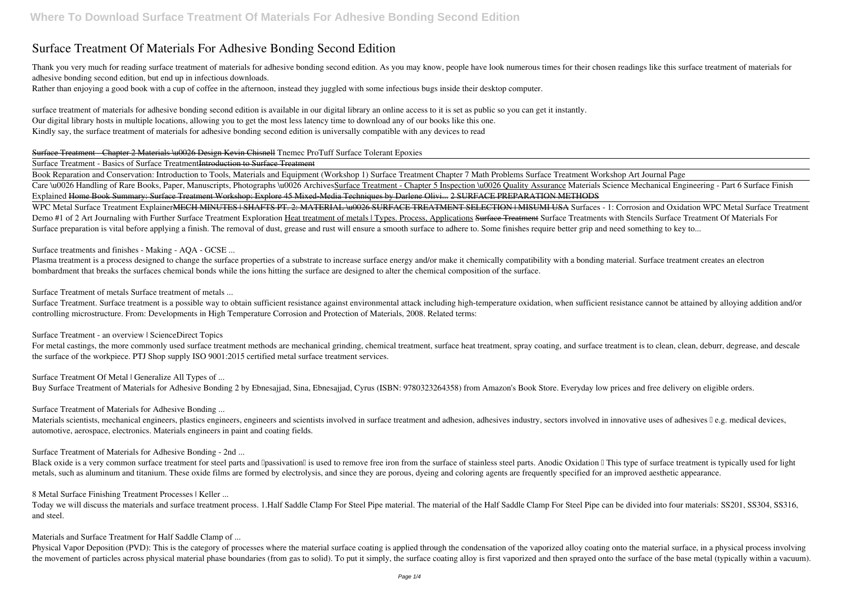# **Surface Treatment Of Materials For Adhesive Bonding Second Edition**

Thank you very much for reading surface treatment of materials for adhesive bonding second edition. As you may know, people have look numerous times for their chosen readings like this surface treatment of materials for adhesive bonding second edition, but end up in infectious downloads.

Rather than enjoying a good book with a cup of coffee in the afternoon, instead they juggled with some infectious bugs inside their desktop computer.

surface treatment of materials for adhesive bonding second edition is available in our digital library an online access to it is set as public so you can get it instantly. Our digital library hosts in multiple locations, allowing you to get the most less latency time to download any of our books like this one. Kindly say, the surface treatment of materials for adhesive bonding second edition is universally compatible with any devices to read

WPC Metal Surface Treatment ExplainerMECH MINUTES | SHAFTS PT. 2: MATERIAL \u0026 SURFACE TREATMENT SELECTION | MISUMI USA *Surfaces - 1: Corrosion and Oxidation WPC Metal Surface Treatment* Demo #1 of 2 Art Journaling with Further Surface Treatment Exploration Heat treatment of metals | Types. Process, Applications Surface Treatment Surface Treatments with Stencils Surface Treatment Of Materials For Surface preparation is vital before applying a finish. The removal of dust, grease and rust will ensure a smooth surface to adhere to. Some finishes require better grip and need something to key to...

### Surface Treatment - Chapter 2 Materials \u0026 Design Kevin Chisnell *Tnemec ProTuff Surface Tolerant Epoxies*

### Surface Treatment - Basics of Surface TreatmentIntroduction to Surface Treatment

Plasma treatment is a process designed to change the surface properties of a substrate to increase surface energy and/or make it chemically compatibility with a bonding material. Surface treatment creates an electron bombardment that breaks the surfaces chemical bonds while the ions hitting the surface are designed to alter the chemical composition of the surface.

Book Reparation and Conservation: Introduction to Tools, Materials and Equipment (Workshop 1) Surface Treatment Chapter 7 Math Problems *Surface Treatment Workshop Art Journal Page* Care \u0026 Handling of Rare Books, Paper, Manuscripts, Photographs \u0026 ArchivesSurface Treatment - Chapter 5 Inspection \u0026 Quality Assurance Materials Science Mechanical Engineering - Part 6 Surface Finish Explained Home Book Summary: Surface Treatment Workshop: Explore 45 Mixed-Media Techniques by Darlene Olivi... 2 SURFACE PREPARATION METHODS

Surface Treatment. Surface treatment is a possible way to obtain sufficient resistance against environmental attack including high-temperature oxidation, when sufficient resistance cannot be attained by alloying addition a controlling microstructure. From: Developments in High Temperature Corrosion and Protection of Materials, 2008. Related terms:

For metal castings, the more commonly used surface treatment methods are mechanical grinding, chemical treatment, surface heat treatment, spray coating, and surface treatment is to clean, clean, deburr, degrease, and desca the surface of the workpiece. PTJ Shop supply ISO 9001:2015 certified metal surface treatment services.

Surface Treatment Of Metal | Generalize All Types of ...

Buy Surface Treatment of Materials for Adhesive Bonding 2 by Ebnesajjad, Sina, Ebnesajjad, Cyrus (ISBN: 9780323264358) from Amazon's Book Store. Everyday low prices and free delivery on eligible orders.

Materials scientists, mechanical engineers, plastics engineers, engineers and scientists involved in surface treatment and adhesion, adhesives industry, sectors involved in innovative uses of adhesives  $\mathbb{I}$  e.g. medica automotive, aerospace, electronics. Materials engineers in paint and coating fields.

Black oxide is a very common surface treatment for steel parts and Dpassivation is used to remove free iron from the surface of stainless steel parts. Anodic Oxidation I This type of surface treatment is typically used for metals, such as aluminum and titanium. These oxide films are formed by electrolysis, and since they are porous, dyeing and coloring agents are frequently specified for an improved aesthetic appearance.

Surface treatments and finishes - Making - AQA - GCSE ...

Surface Treatment of metals Surface treatment of metals ...

Surface Treatment - an overview | ScienceDirect Topics

### Surface Treatment of Materials for Adhesive Bonding ...

Surface Treatment of Materials for Adhesive Bonding - 2nd ...

8 Metal Surface Finishing Treatment Processes | Keller ...

Today we will discuss the materials and surface treatment process. 1.Half Saddle Clamp For Steel Pipe material. The material of the Half Saddle Clamp For Steel Pipe can be divided into four materials: SS201, SS304, SS316, and steel.

Materials and Surface Treatment for Half Saddle Clamp of ...

Physical Vapor Deposition (PVD): This is the category of processes where the material surface coating is applied through the condensation of the vaporized alloy coating onto the material surface, in a physical process invo the movement of particles across physical material phase boundaries (from gas to solid). To put it simply, the surface coating alloy is first vaporized and then sprayed onto the surface of the base metal (typically within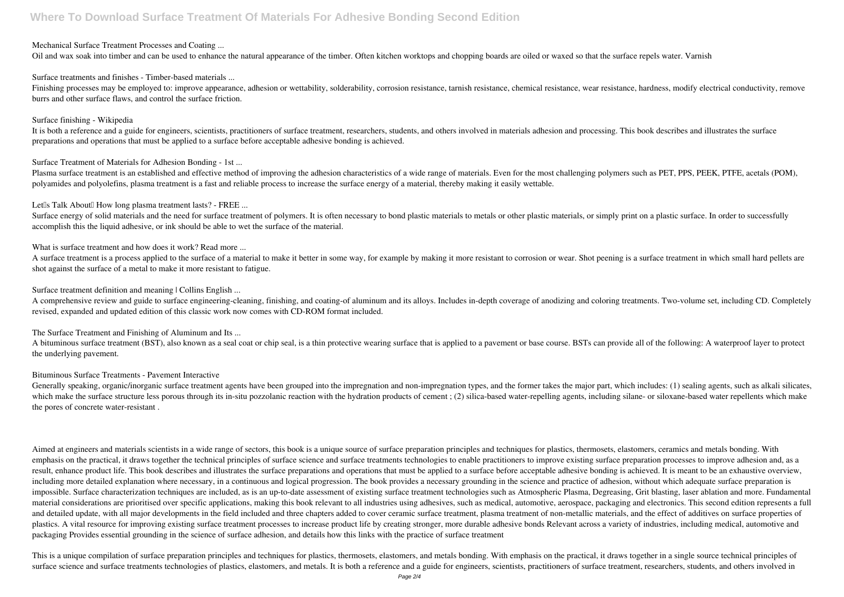### Mechanical Surface Treatment Processes and Coating ...

Oil and wax soak into timber and can be used to enhance the natural appearance of the timber. Often kitchen worktops and chopping boards are oiled or waxed so that the surface repels water. Varnish

Finishing processes may be employed to: improve appearance, adhesion or wettability, solderability, corrosion resistance, tarnish resistance, chemical resistance, wear resistance, hardness, modify electrical conductivity, burrs and other surface flaws, and control the surface friction.

Surface treatments and finishes - Timber-based materials ...

It is both a reference and a guide for engineers, scientists, practitioners of surface treatment, researchers, students, and others involved in materials adhesion and processing. This book describes and illustrates the sur preparations and operations that must be applied to a surface before acceptable adhesive bonding is achieved.

### Surface finishing - Wikipedia

Plasma surface treatment is an established and effective method of improving the adhesion characteristics of a wide range of materials. Even for the most challenging polymers such as PET, PPS, PEEK, PTFE, acetals (POM), polyamides and polyolefins, plasma treatment is a fast and reliable process to increase the surface energy of a material, thereby making it easily wettable.

Let<sup>[]</sup>s Talk About<sup>[]</sup> How long plasma treatment lasts? - FREE ...

Surface energy of solid materials and the need for surface treatment of polymers. It is often necessary to bond plastic materials to metals or other plastic materials, or simply print on a plastic surface. In order to succ accomplish this the liquid adhesive, or ink should be able to wet the surface of the material.

Surface Treatment of Materials for Adhesion Bonding - 1st ...

A surface treatment is a process applied to the surface of a material to make it better in some way, for example by making it more resistant to corrosion or wear. Shot peening is a surface treatment in which small hard pel shot against the surface of a metal to make it more resistant to fatigue.

Surface treatment definition and meaning | Collins English ...

A bituminous surface treatment (BST), also known as a seal coat or chip seal, is a thin protective wearing surface that is applied to a pavement or base course. BSTs can provide all of the following: A waterproof layer to the underlying pavement.

Generally speaking, organic/inorganic surface treatment agents have been grouped into the impregnation and non-impregnation types, and the former takes the major part, which includes: (1) sealing agents, such as alkali sil which make the surface structure less porous through its in-situ pozzolanic reaction with the hydration products of cement; (2) silica-based water-repelling agents, including silane- or siloxane-based water repellents whic the pores of concrete water-resistant .

What is surface treatment and how does it work? Read more ...

A comprehensive review and guide to surface engineering-cleaning, finishing, and coating-of aluminum and its alloys. Includes in-depth coverage of anodizing and coloring treatments. Two-volume set, including CD. Completely revised, expanded and updated edition of this classic work now comes with CD-ROM format included.

The Surface Treatment and Finishing of Aluminum and Its ...

Aimed at engineers and materials scientists in a wide range of sectors, this book is a unique source of surface preparation principles and techniques for plastics, thermosets, elastomers, ceramics and metals bonding. With emphasis on the practical, it draws together the technical principles of surface science and surface treatments technologies to enable practitioners to improve existing surface preparation processes to improve adhesion and result, enhance product life. This book describes and illustrates the surface preparations and operations that must be applied to a surface before acceptable adhesive bonding is achieved. It is meant to be an exhaustive ov including more detailed explanation where necessary, in a continuous and logical progression. The book provides a necessary grounding in the science and practice of adhesion, without which adequate surface preparation is impossible. Surface characterization techniques are included, as is an up-to-date assessment of existing surface treatment technologies such as Atmospheric Plasma, Degreasing, Grit blasting, laser ablation and more. Fundam material considerations are prioritised over specific applications, making this book relevant to all industries using adhesives, such as medical, automotive, aerospace, packaging and electronics. This second edition repres and detailed update, with all major developments in the field included and three chapters added to cover ceramic surface treatment, plasma treatment of non-metallic materials, and the effect of additives on surface propert plastics. A vital resource for improving existing surface treatment processes to increase product life by creating stronger, more durable adhesive bonds Relevant across a variety of industries, including medical, automotiv packaging Provides essential grounding in the science of surface adhesion, and details how this links with the practice of surface treatment

This is a unique compilation of surface preparation principles and techniques for plastics, thermosets, elastomers, and metals bonding. With emphasis on the practical, it draws together in a single source technical princip surface science and surface treatments technologies of plastics, elastomers, and metals. It is both a reference and a guide for engineers, scientists, practitioners of surface treatment, researchers, students, and others i

### Bituminous Surface Treatments - Pavement Interactive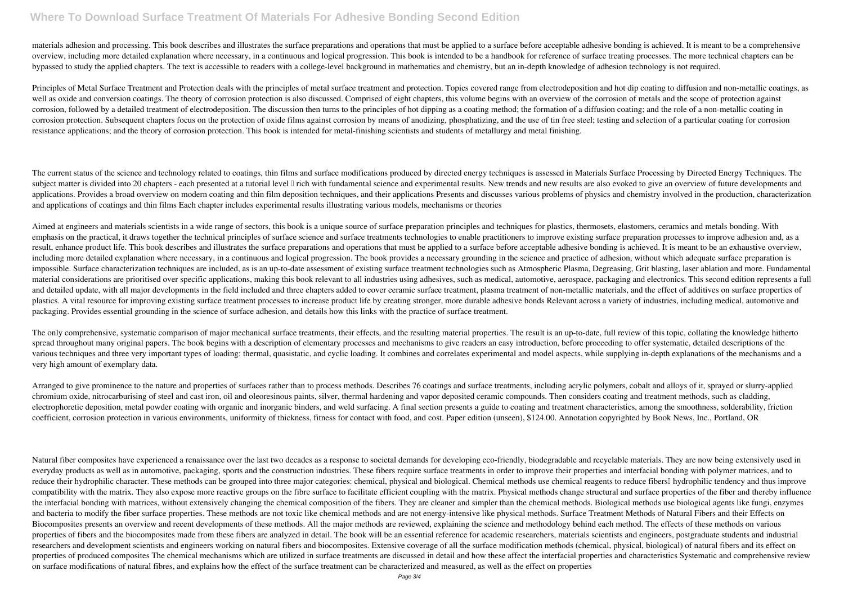## **Where To Download Surface Treatment Of Materials For Adhesive Bonding Second Edition**

materials adhesion and processing. This book describes and illustrates the surface preparations and operations that must be applied to a surface before acceptable adhesive bonding is achieved. It is meant to be a comprehen overview, including more detailed explanation where necessary, in a continuous and logical progression. This book is intended to be a handbook for reference of surface treating processes. The more technical chapters can be bypassed to study the applied chapters. The text is accessible to readers with a college-level background in mathematics and chemistry, but an in-depth knowledge of adhesion technology is not required.

Principles of Metal Surface Treatment and Protection deals with the principles of metal surface treatment and protection. Topics covered range from electrodeposition and hot dip coating to diffusion and non-metallic coatin well as oxide and conversion coatings. The theory of corrosion protection is also discussed. Comprised of eight chapters, this volume begins with an overview of the corrosion of metals and the scope of protection against corrosion, followed by a detailed treatment of electrodeposition. The discussion then turns to the principles of hot dipping as a coating method; the formation of a diffusion coating; and the role of a non-metallic coating corrosion protection. Subsequent chapters focus on the protection of oxide films against corrosion by means of anodizing, phosphatizing, and the use of tin free steel; testing and selection of a particular coating for corr resistance applications; and the theory of corrosion protection. This book is intended for metal-finishing scientists and students of metallurgy and metal finishing.

The current status of the science and technology related to coatings, thin films and surface modifications produced by directed energy techniques is assessed in Materials Surface Processing by Directed Energy Techniques. The subject matter is divided into 20 chapters - each presented at a tutorial level I rich with fundamental science and experimental results. New trends and new results are also evoked to give an overview of future development applications. Provides a broad overview on modern coating and thin film deposition techniques, and their applications Presents and discusses various problems of physics and chemistry involved in the production, characteriz and applications of coatings and thin films Each chapter includes experimental results illustrating various models, mechanisms or theories

Aimed at engineers and materials scientists in a wide range of sectors, this book is a unique source of surface preparation principles and techniques for plastics, thermosets, elastomers, ceramics and metals bonding. With emphasis on the practical, it draws together the technical principles of surface science and surface treatments technologies to enable practitioners to improve existing surface preparation processes to improve adhesion and result, enhance product life. This book describes and illustrates the surface preparations and operations that must be applied to a surface before acceptable adhesive bonding is achieved. It is meant to be an exhaustive ov including more detailed explanation where necessary, in a continuous and logical progression. The book provides a necessary grounding in the science and practice of adhesion, without which adequate surface preparation is impossible. Surface characterization techniques are included, as is an up-to-date assessment of existing surface treatment technologies such as Atmospheric Plasma, Degreasing, Grit blasting, laser ablation and more. Fundam material considerations are prioritised over specific applications, making this book relevant to all industries using adhesives, such as medical, automotive, aerospace, packaging and electronics. This second edition repres and detailed update, with all major developments in the field included and three chapters added to cover ceramic surface treatment, plasma treatment of non-metallic materials, and the effect of additives on surface propert plastics. A vital resource for improving existing surface treatment processes to increase product life by creating stronger, more durable adhesive bonds Relevant across a variety of industries, including medical, automotiv packaging. Provides essential grounding in the science of surface adhesion, and details how this links with the practice of surface treatment.

The only comprehensive, systematic comparison of major mechanical surface treatments, their effects, and the resulting material properties. The result is an up-to-date, full review of this topic, collating the knowledge hi spread throughout many original papers. The book begins with a description of elementary processes and mechanisms to give readers an easy introduction, before proceeding to offer systematic, detailed descriptions of the various techniques and three very important types of loading: thermal, quasistatic, and cyclic loading. It combines and correlates experimental and model aspects, while supplying in-depth explanations of the mechanisms and a very high amount of exemplary data.

Arranged to give prominence to the nature and properties of surfaces rather than to process methods. Describes 76 coatings and surface treatments, including acrylic polymers, cobalt and alloys of it, sprayed or slurry-appl chromium oxide, nitrocarburising of steel and cast iron, oil and oleoresinous paints, silver, thermal hardening and vapor deposited ceramic compounds. Then considers coating and treatment methods, such as cladding, electrophoretic deposition, metal powder coating with organic and inorganic binders, and weld surfacing. A final section presents a guide to coating and treatment characteristics, among the smoothness, solderability, frict coefficient, corrosion protection in various environments, uniformity of thickness, fitness for contact with food, and cost. Paper edition (unseen), \$124.00. Annotation copyrighted by Book News, Inc., Portland, OR

Natural fiber composites have experienced a renaissance over the last two decades as a response to societal demands for developing eco-friendly, biodegradable and recyclable materials. They are now being extensively used in everyday products as well as in automotive, packaging, sports and the construction industries. These fibers require surface treatments in order to improve their properties and interfacial bonding with polymer matrices, and reduce their hydrophilic character. These methods can be grouped into three major categories: chemical, physical and biological. Chemical methods use chemical reagents to reduce fibers! hydrophilic tendency and thus improv compatibility with the matrix. They also expose more reactive groups on the fibre surface to facilitate efficient coupling with the matrix. Physical methods change structural and surface properties of the fiber and thereby the interfacial bonding with matrices, without extensively changing the chemical composition of the fibers. They are cleaner and simpler than the chemical methods. Biological methods use biological agents like fungi, enzymes and bacteria to modify the fiber surface properties. These methods are not toxic like chemical methods and are not energy-intensive like physical methods. Surface Treatment Methods of Natural Fibers and their Effects on Biocomposites presents an overview and recent developments of these methods. All the major methods are reviewed, explaining the science and methodology behind each method. The effects of these methods on various properties of fibers and the biocomposites made from these fibers are analyzed in detail. The book will be an essential reference for academic researchers, materials scientists and engineers, postgraduate students and indu researchers and development scientists and engineers working on natural fibers and biocomposites. Extensive coverage of all the surface modification methods (chemical, physical, biological) of natural fibers and its effect properties of produced composites The chemical mechanisms which are utilized in surface treatments are discussed in detail and how these affect the interfacial properties and characteristics Systematic and comprehensive re on surface modifications of natural fibres, and explains how the effect of the surface treatment can be characterized and measured, as well as the effect on properties